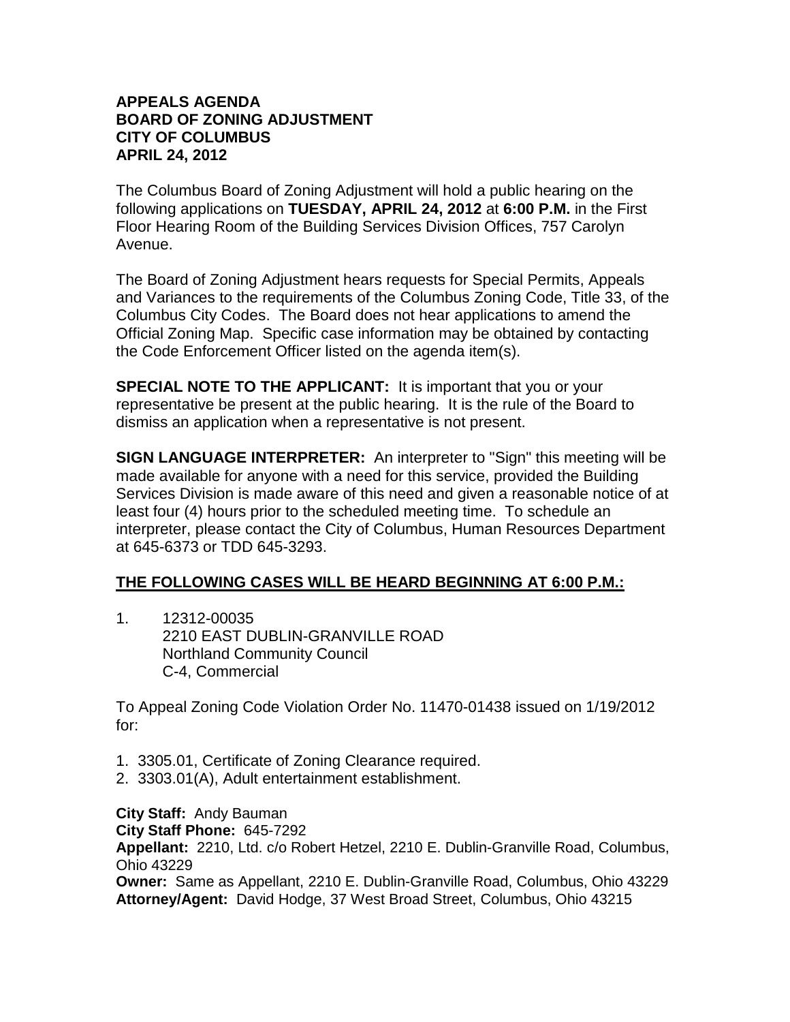## **APPEALS AGENDA BOARD OF ZONING ADJUSTMENT CITY OF COLUMBUS APRIL 24, 2012**

The Columbus Board of Zoning Adjustment will hold a public hearing on the following applications on **TUESDAY, APRIL 24, 2012** at **6:00 P.M.** in the First Floor Hearing Room of the Building Services Division Offices, 757 Carolyn Avenue.

The Board of Zoning Adjustment hears requests for Special Permits, Appeals and Variances to the requirements of the Columbus Zoning Code, Title 33, of the Columbus City Codes. The Board does not hear applications to amend the Official Zoning Map. Specific case information may be obtained by contacting the Code Enforcement Officer listed on the agenda item(s).

**SPECIAL NOTE TO THE APPLICANT:** It is important that you or your representative be present at the public hearing. It is the rule of the Board to dismiss an application when a representative is not present.

**SIGN LANGUAGE INTERPRETER:** An interpreter to "Sign" this meeting will be made available for anyone with a need for this service, provided the Building Services Division is made aware of this need and given a reasonable notice of at least four (4) hours prior to the scheduled meeting time. To schedule an interpreter, please contact the City of Columbus, Human Resources Department at 645-6373 or TDD 645-3293.

## **THE FOLLOWING CASES WILL BE HEARD BEGINNING AT 6:00 P.M.:**

1. 12312-00035 2210 EAST DUBLIN-GRANVILLE ROAD Northland Community Council C-4, Commercial

To Appeal Zoning Code Violation Order No. 11470-01438 issued on 1/19/2012 for:

- 1. 3305.01, Certificate of Zoning Clearance required.
- 2. 3303.01(A), Adult entertainment establishment.

**City Staff:** Andy Bauman **City Staff Phone:** 645-7292 **Appellant:** 2210, Ltd. c/o Robert Hetzel, 2210 E. Dublin-Granville Road, Columbus, Ohio 43229 **Owner:** Same as Appellant, 2210 E. Dublin-Granville Road, Columbus, Ohio 43229 **Attorney/Agent:** David Hodge, 37 West Broad Street, Columbus, Ohio 43215